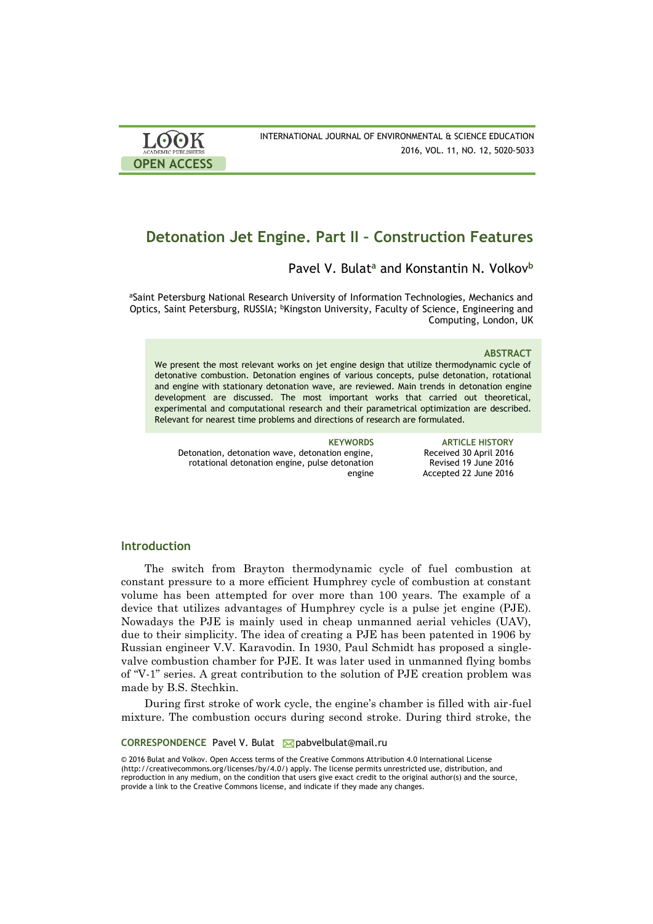| <b>LOOK</b>                | INTERNATIONAL JOURNAL OF ENVIRONMENTAL & SCIENCE EDUCATION |
|----------------------------|------------------------------------------------------------|
| <b>ACADEMIC PUBLISHERS</b> | 2016, VOL. 11, NO. 12, 5020-5033                           |
| <b>OPEN ACCESS</b>         |                                                            |

# **Detonation Jet Engine. Part II – Construction Features**

# Pavel V. Bulat**<sup>a</sup>** and Konstantin N. Volkov**<sup>b</sup>**

aSaint Petersburg National Research University of Information Technologies, Mechanics and Optics, Saint Petersburg, RUSSIA; <sup>b</sup>Kingston University, Faculty of Science, Engineering and Computing, London, UK

### **ABSTRACT**

We present the most relevant works on jet engine design that utilize thermodynamic cycle of detonative combustion. Detonation engines of various concepts, pulse detonation, rotational and engine with stationary detonation wave, are reviewed. Main trends in detonation engine development are discussed. The most important works that carried out theoretical, experimental and computational research and their parametrical optimization are described. Relevant for nearest time problems and directions of research are formulated.

Detonation, detonation wave, detonation engine, rotational detonation engine, pulse detonation engine

**KEYWORDS ARTICLE HISTORY** Received 30 April 2016 Revised 19 June 2016 Accepted 22 June 2016

# **Introduction**

The switch from Brayton thermodynamic cycle of fuel combustion at constant pressure to a more efficient Humphrey cycle of combustion at constant volume has been attempted for over more than 100 years. The example of a device that utilizes advantages of Humphrey cycle is a pulse jet engine (PJE). Nowadays the PJE is mainly used in cheap unmanned aerial vehicles (UAV), due to their simplicity. The idea of creating a PJE has been patented in 1906 by Russian engineer V.V. Karavodin. In 1930, Paul Schmidt has proposed a singlevalve combustion chamber for PJE. It was later used in unmanned flying bombs of "V-1" series. A great contribution to the solution of PJE creation problem was made by B.S. Stechkin.

During first stroke of work cycle, the engine's chamber is filled with air-fuel mixture. The combustion occurs during second stroke. During third stroke, the

CORRESPONDENCE Pavel V. Bulat **M** pabvelbulat@mail.ru

© 2016 Bulat and Volkov. Open Access terms of the Creative Commons Attribution 4.0 International License (http://creativecommons.org/licenses/by/4.0/) apply. The license permits unrestricted use, distribution, and reproduction in any medium, on the condition that users give exact credit to the original author(s) and the source, provide a link to the Creative Commons license, and indicate if they made any changes.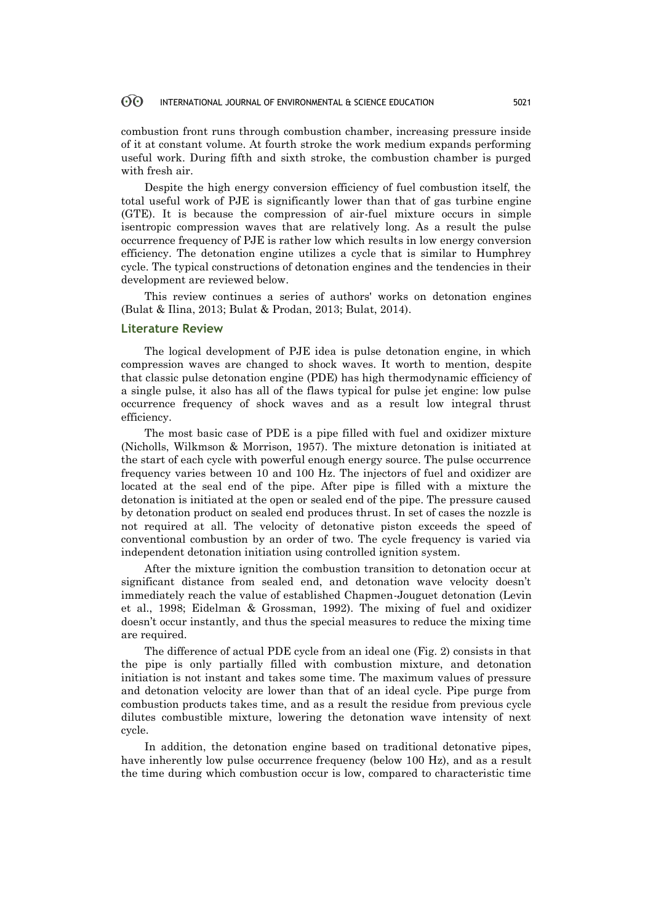#### 60 INTERNATIONAL JOURNAL OF ENVIRONMENTAL & SCIENCE EDUCATION 5021

combustion front runs through combustion chamber, increasing pressure inside of it at constant volume. At fourth stroke the work medium expands performing useful work. During fifth and sixth stroke, the combustion chamber is purged with fresh air.

Despite the high energy conversion efficiency of fuel combustion itself, the total useful work of PJE is significantly lower than that of gas turbine engine (GTE). It is because the compression of air-fuel mixture occurs in simple isentropic compression waves that are relatively long. As a result the pulse occurrence frequency of PJE is rather low which results in low energy conversion efficiency. The detonation engine utilizes a cycle that is similar to Humphrey cycle. The typical constructions of detonation engines and the tendencies in their development are reviewed below.

This review continues a series of authors' works on detonation engines (Bulat & Ilina, 2013; Bulat & Prodan, 2013; Bulat, 2014).

## **Literature Review**

The logical development of PJE idea is pulse detonation engine, in which compression waves are changed to shock waves. It worth to mention, despite that classic pulse detonation engine (PDE) has high thermodynamic efficiency of a single pulse, it also has all of the flaws typical for pulse jet engine: low pulse occurrence frequency of shock waves and as a result low integral thrust efficiency.

The most basic case of PDE is a pipe filled with fuel and oxidizer mixture (Nicholls, Wilkmson & Morrison, 1957). The mixture detonation is initiated at the start of each cycle with powerful enough energy source. The pulse occurrence frequency varies between 10 and 100 Hz. The injectors of fuel and oxidizer are located at the seal end of the pipe. After pipe is filled with a mixture the detonation is initiated at the open or sealed end of the pipe. The pressure caused by detonation product on sealed end produces thrust. In set of cases the nozzle is not required at all. The velocity of detonative piston exceeds the speed of conventional combustion by an order of two. The cycle frequency is varied via independent detonation initiation using controlled ignition system.

After the mixture ignition the combustion transition to detonation occur at significant distance from sealed end, and detonation wave velocity doesn't immediately reach the value of established Chapmen-Jouguet detonation (Levin et al., 1998; Eidelman & Grossman, 1992). The mixing of fuel and oxidizer doesn't occur instantly, and thus the special measures to reduce the mixing time are required.

The difference of actual PDE cycle from an ideal one (Fig. 2) consists in that the pipe is only partially filled with combustion mixture, and detonation initiation is not instant and takes some time. The maximum values of pressure and detonation velocity are lower than that of an ideal cycle. Pipe purge from combustion products takes time, and as a result the residue from previous cycle dilutes combustible mixture, lowering the detonation wave intensity of next cycle.

In addition, the detonation engine based on traditional detonative pipes, have inherently low pulse occurrence frequency (below 100 Hz), and as a result the time during which combustion occur is low, compared to characteristic time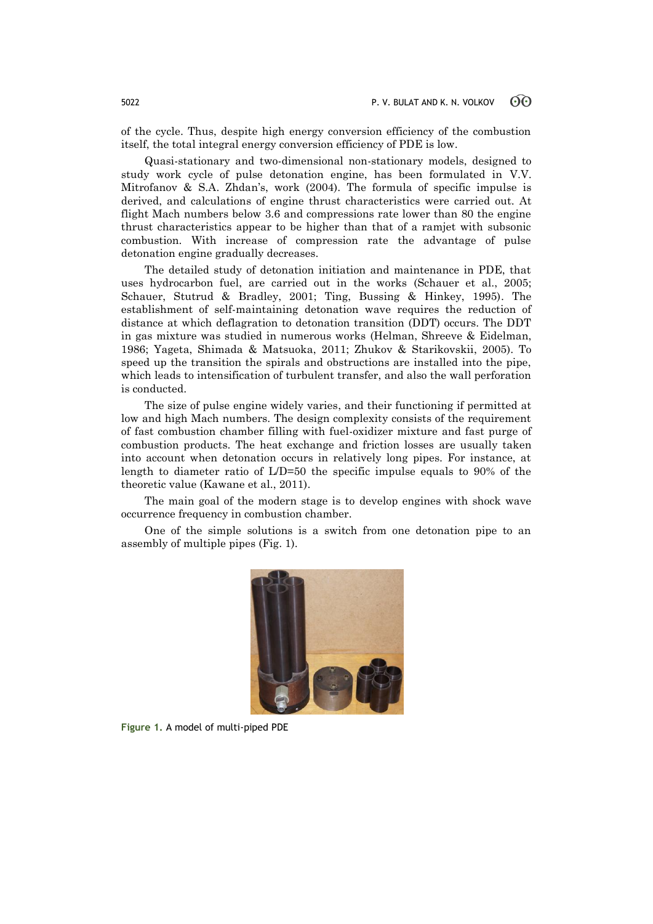of the cycle. Thus, despite high energy conversion efficiency of the combustion itself, the total integral energy conversion efficiency of PDE is low.

Quasi-stationary and two-dimensional non-stationary models, designed to study work cycle of pulse detonation engine, has been formulated in V.V. Mitrofanov & S.A. Zhdan's, work (2004). The formula of specific impulse is derived, and calculations of engine thrust characteristics were carried out. At flight Mach numbers below 3.6 and compressions rate lower than 80 the engine thrust characteristics appear to be higher than that of a ramjet with subsonic combustion. With increase of compression rate the advantage of pulse detonation engine gradually decreases.

The detailed study of detonation initiation and maintenance in PDE, that uses hydrocarbon fuel, are carried out in the works (Schauer et al., 2005; Schauer, Stutrud & Bradley, 2001; Ting, Bussing & Hinkey, 1995). The establishment of self-maintaining detonation wave requires the reduction of distance at which deflagration to detonation transition (DDT) occurs. The DDT in gas mixture was studied in numerous works (Helman, Shreeve & Eidelman, 1986; Yageta, Shimada & Matsuoka, 2011; Zhukov & Starikovskii, 2005). To speed up the transition the spirals and obstructions are installed into the pipe, which leads to intensification of turbulent transfer, and also the wall perforation is conducted.

The size of pulse engine widely varies, and their functioning if permitted at low and high Mach numbers. The design complexity consists of the requirement of fast combustion chamber filling with fuel-oxidizer mixture and fast purge of combustion products. The heat exchange and friction losses are usually taken into account when detonation occurs in relatively long pipes. For instance, at length to diameter ratio of L/D=50 the specific impulse equals to 90% of the theoretic value (Kawane et al., 2011).

The main goal of the modern stage is to develop engines with shock wave occurrence frequency in combustion chamber.

One of the simple solutions is a switch from one detonation pipe to an assembly of multiple pipes (Fig. 1).



**Figure 1.** A model of multi-piped PDE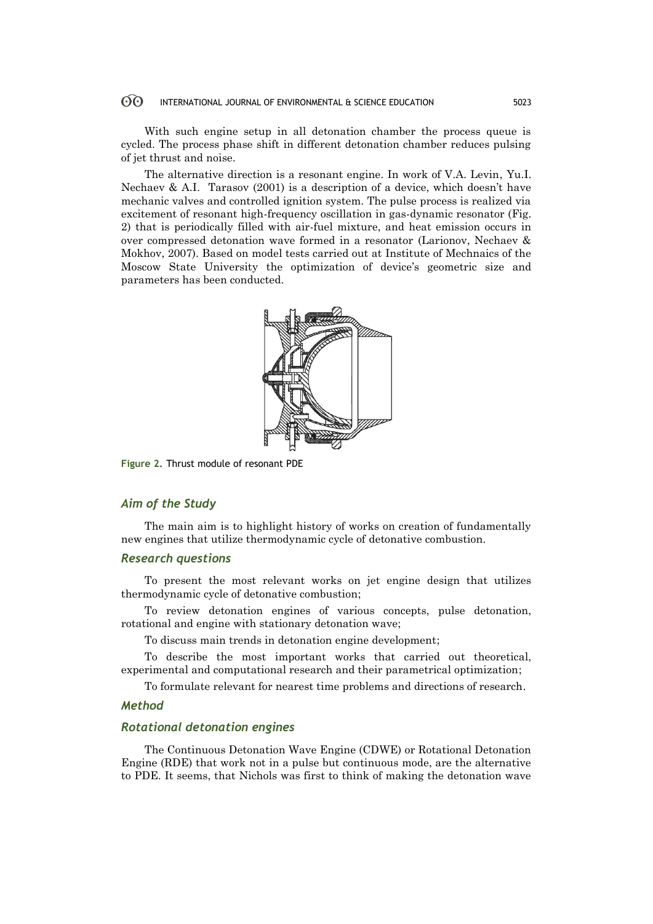#### $\odot$ INTERNATIONAL JOURNAL OF ENVIRONMENTAL & SCIENCE EDUCATION 5023

With such engine setup in all detonation chamber the process queue is cycled. The process phase shift in different detonation chamber reduces pulsing of jet thrust and noise.

The alternative direction is a resonant engine. In work of V.A. Levin, Yu.I. Nechaev & A.I. Tarasov (2001) is a description of a device, which doesn't have mechanic valves and controlled ignition system. The pulse process is realized via excitement of resonant high-frequency oscillation in gas-dynamic resonator (Fig. 2) that is periodically filled with air-fuel mixture, and heat emission occurs in over compressed detonation wave formed in a resonator (Larionov, Nechaev & Mokhov, 2007). Based on model tests carried out at Institute of Mechnaics of the Moscow State University the optimization of device's geometric size and parameters has been conducted.



**Figure 2.** Thrust module of resonant PDE

# *Aim of the Study*

The main aim is to highlight history of works on creation of fundamentally new engines that utilize thermodynamic cycle of detonative combustion.

## *Research questions*

To present the most relevant works on jet engine design that utilizes thermodynamic cycle of detonative combustion;

To review detonation engines of various concepts, pulse detonation, rotational and engine with stationary detonation wave;

To discuss main trends in detonation engine development;

To describe the most important works that carried out theoretical, experimental and computational research and their parametrical optimization;

To formulate relevant for nearest time problems and directions of research.

## *Method*

## *Rotational detonation engines*

The Continuous Detonation Wave Engine (CDWE) or Rotational Detonation Engine (RDE) that work not in a pulse but continuous mode, are the alternative to PDE. It seems, that Nichols was first to think of making the detonation wave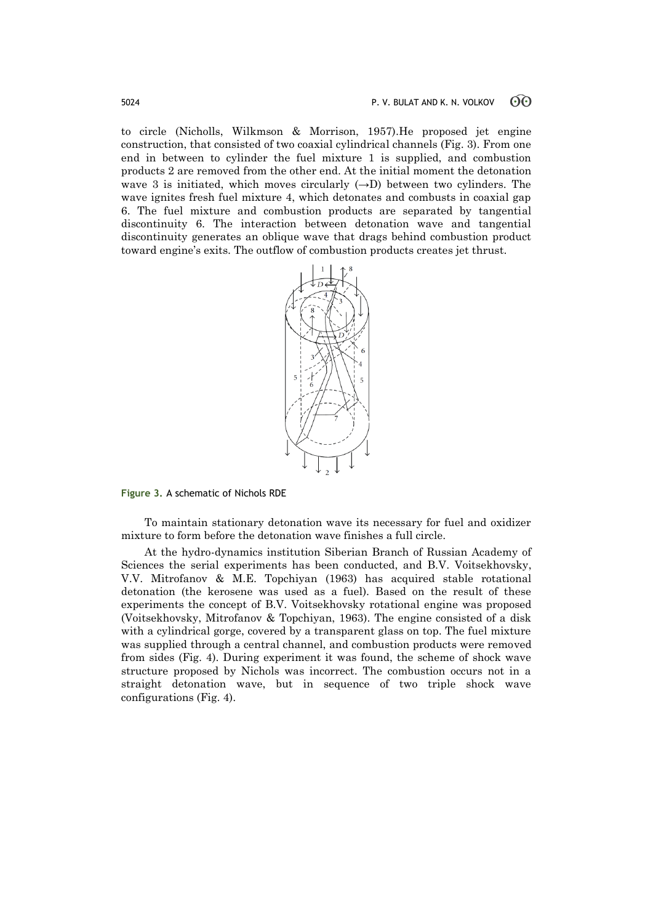to circle (Nicholls, Wilkmson & Morrison, 1957).He proposed jet engine construction, that consisted of two coaxial cylindrical channels (Fig. 3). From one end in between to cylinder the fuel mixture 1 is supplied, and combustion products 2 are removed from the other end. At the initial moment the detonation wave 3 is initiated, which moves circularly  $(\rightarrow)$  between two cylinders. The wave ignites fresh fuel mixture 4, which detonates and combusts in coaxial gap 6. The fuel mixture and combustion products are separated by tangential discontinuity 6. The interaction between detonation wave and tangential discontinuity generates an oblique wave that drags behind combustion product toward engine's exits. The outflow of combustion products creates jet thrust.



**Figure 3.** A schematic of Nichols RDE

To maintain stationary detonation wave its necessary for fuel and oxidizer mixture to form before the detonation wave finishes a full circle.

At the hydro-dynamics institution Siberian Branch of Russian Academy of Sciences the serial experiments has been conducted, and B.V. Voitsekhovsky, V.V. Mitrofanov & M.E. Topchiyan (1963) has acquired stable rotational detonation (the kerosene was used as a fuel). Based on the result of these experiments the concept of B.V. Voitsekhovsky rotational engine was proposed (Voitsekhovsky, Mitrofanov & Topchiyan, 1963). The engine consisted of a disk with a cylindrical gorge, covered by a transparent glass on top. The fuel mixture was supplied through a central channel, and combustion products were removed from sides (Fig. 4). During experiment it was found, the scheme of shock wave structure proposed by Nichols was incorrect. The combustion occurs not in a straight detonation wave, but in sequence of two triple shock wave configurations (Fig. 4).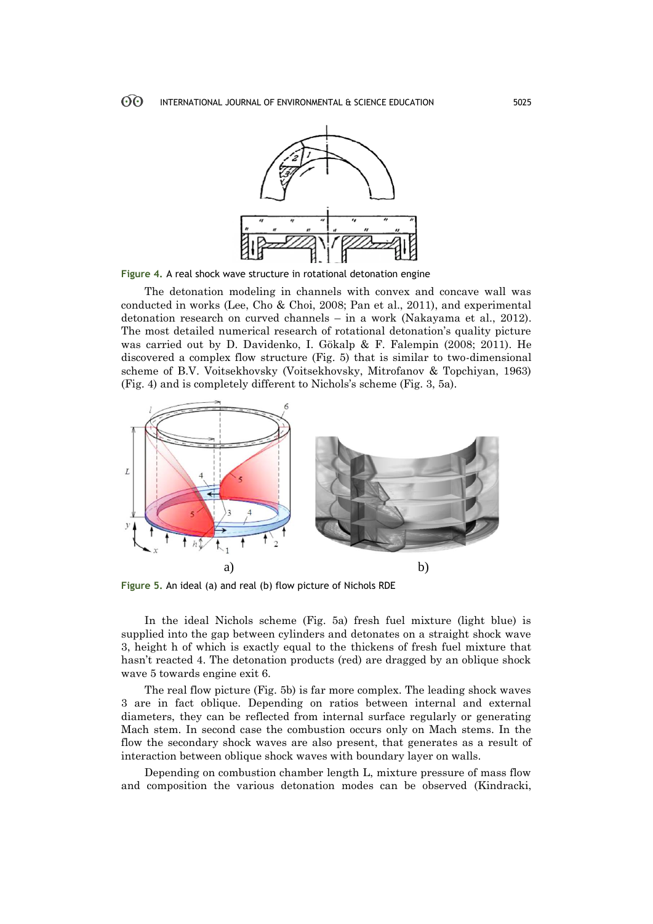

**Figure 4.** A real shock wave structure in rotational detonation engine

The detonation modeling in channels with convex and concave wall was conducted in works (Lee, Cho & Choi, 2008; Pan et al., 2011), and experimental detonation research on curved channels – in a work (Nakayama et al., 2012). The most detailed numerical research of rotational detonation's quality picture was carried out by D. Davidenko, I. Gökalp & F. Falempin (2008; 2011). He discovered a complex flow structure (Fig. 5) that is similar to two-dimensional scheme of B.V. Voitsekhovsky (Voitsekhovsky, Mitrofanov & Topchiyan, 1963) (Fig. 4) and is completely different to Nichols's scheme (Fig. 3, 5a).



**Figure 5.** An ideal (a) and real (b) flow picture of Nichols RDE

In the ideal Nichols scheme (Fig. 5a) fresh fuel mixture (light blue) is supplied into the gap between cylinders and detonates on a straight shock wave 3, height h of which is exactly equal to the thickens of fresh fuel mixture that hasn't reacted 4. The detonation products (red) are dragged by an oblique shock wave 5 towards engine exit 6.

The real flow picture (Fig. 5b) is far more complex. The leading shock waves 3 are in fact oblique. Depending on ratios between internal and external diameters, they can be reflected from internal surface regularly or generating Mach stem. In second case the combustion occurs only on Mach stems. In the flow the secondary shock waves are also present, that generates as a result of interaction between oblique shock waves with boundary layer on walls.

Depending on combustion chamber length L, mixture pressure of mass flow and composition the various detonation modes can be observed (Kindracki,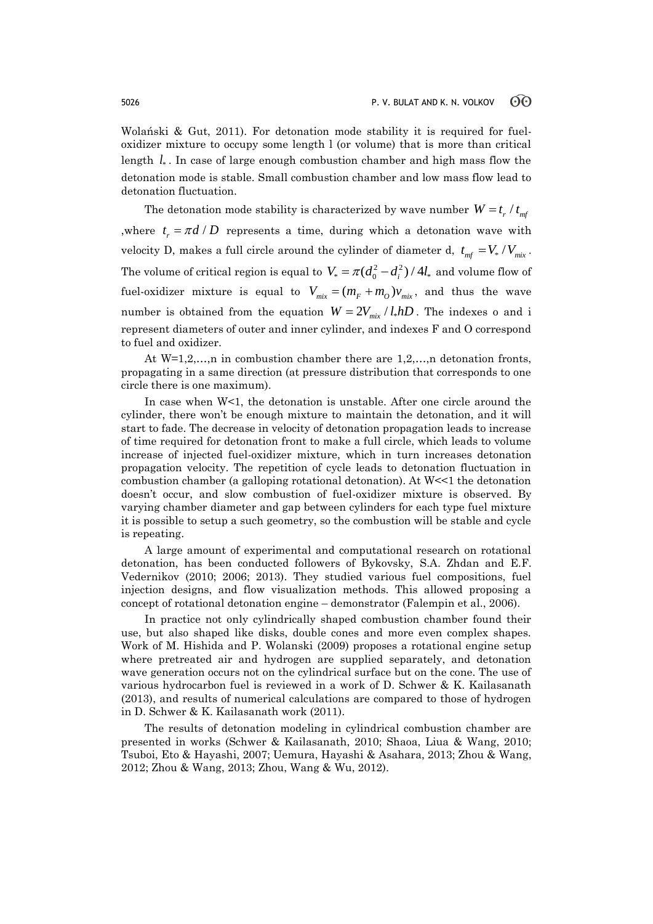Wolański & Gut, 2011). For detonation mode stability it is required for fueloxidizer mixture to occupy some length l (or volume) that is more than critical length  $l_*$ . In case of large enough combustion chamber and high mass flow the detonation mode is stable. Small combustion chamber and low mass flow lead to detonation fluctuation.

The detonation mode stability is characterized by wave number  $W = t_r / t_{m}$ where  $t_r = \pi d/D$  represents a time, during which a detonation wave with velocity D, makes a full circle around the cylinder of diameter d,  $t_{\text{mf}} = V_* / V_{\text{mix}}$ . The volume of critical region is equal to  $V_* = \pi (d_0^2 - d_i^2) / 4l_*$  and volume flow of fuel-oxidizer mixture is equal to  $V_{mix} = (m_F + m_O) v_{mix}$ , and thus the wave number is obtained from the equation  $W = 2V_{mix} / l_{*}hD$ . The indexes o and i represent diameters of outer and inner cylinder, and indexes F and O correspond to fuel and oxidizer.

At  $W=1,2,...,n$  in combustion chamber there are  $1,2,...,n$  detonation fronts, propagating in a same direction (at pressure distribution that corresponds to one circle there is one maximum).

In case when W<1, the detonation is unstable. After one circle around the cylinder, there won't be enough mixture to maintain the detonation, and it will start to fade. The decrease in velocity of detonation propagation leads to increase of time required for detonation front to make a full circle, which leads to volume increase of injected fuel-oxidizer mixture, which in turn increases detonation propagation velocity. The repetition of cycle leads to detonation fluctuation in combustion chamber (a galloping rotational detonation). At  $W \leq 1$  the detonation doesn't occur, and slow combustion of fuel-oxidizer mixture is observed. By varying chamber diameter and gap between cylinders for each type fuel mixture it is possible to setup a such geometry, so the combustion will be stable and cycle is repeating.

A large amount of experimental and computational research on rotational detonation, has been conducted followers of Bykovsky, S.A. Zhdan and E.F. Vedernikov (2010; 2006; 2013). They studied various fuel compositions, fuel injection designs, and flow visualization methods. This allowed proposing a concept of rotational detonation engine – demonstrator (Falempin et al., 2006).

In practice not only cylindrically shaped combustion chamber found their use, but also shaped like disks, double cones and more even complex shapes. Work of M. Hishida and P. Wolanski (2009) proposes a rotational engine setup where pretreated air and hydrogen are supplied separately, and detonation wave generation occurs not on the cylindrical surface but on the cone. The use of various hydrocarbon fuel is reviewed in a work of D. Schwer & K. Kailasanath (2013), and results of numerical calculations are compared to those of hydrogen in D. Schwer & K. Kailasanath work (2011).

The results of detonation modeling in cylindrical combustion chamber are presented in works (Schwer & Kailasanath, 2010; Shaoa, Liua & Wang, 2010; Tsuboi, Eto & Hayashi, 2007; Uemura, Hayashi & Asahara, 2013; Zhou & Wang, 2012; Zhou & Wang, 2013; Zhou, Wang & Wu, 2012).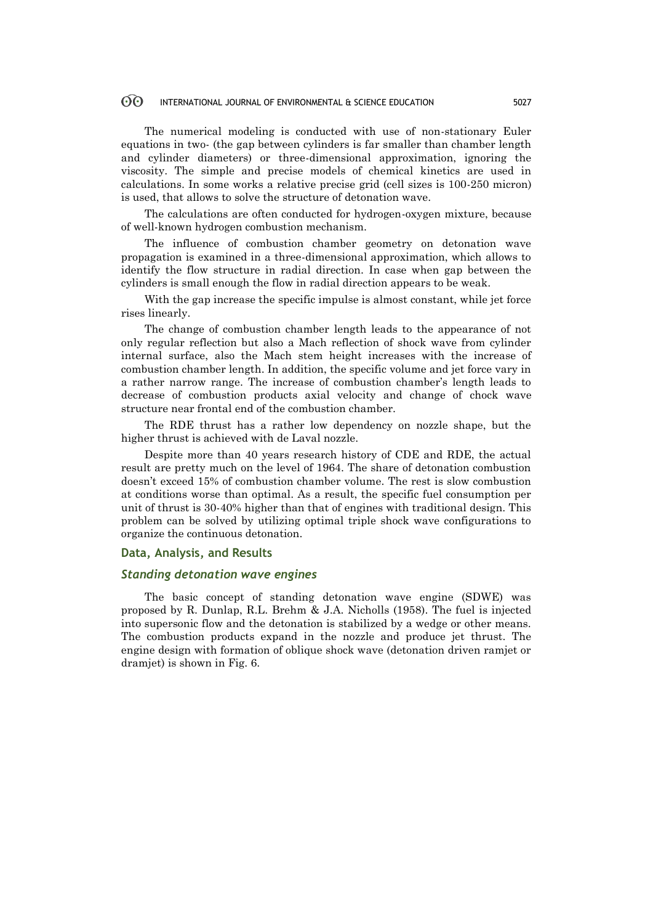#### $\odot$ INTERNATIONAL JOURNAL OF ENVIRONMENTAL & SCIENCE EDUCATION 5027

The numerical modeling is conducted with use of non-stationary Euler equations in two- (the gap between cylinders is far smaller than chamber length and cylinder diameters) or three-dimensional approximation, ignoring the viscosity. The simple and precise models of chemical kinetics are used in calculations. In some works a relative precise grid (cell sizes is 100-250 micron) is used, that allows to solve the structure of detonation wave.

The calculations are often conducted for hydrogen-oxygen mixture, because of well-known hydrogen combustion mechanism.

The influence of combustion chamber geometry on detonation wave propagation is examined in a three-dimensional approximation, which allows to identify the flow structure in radial direction. In case when gap between the cylinders is small enough the flow in radial direction appears to be weak.

With the gap increase the specific impulse is almost constant, while jet force rises linearly.

The change of combustion chamber length leads to the appearance of not only regular reflection but also a Mach reflection of shock wave from cylinder internal surface, also the Mach stem height increases with the increase of combustion chamber length. In addition, the specific volume and jet force vary in a rather narrow range. The increase of combustion chamber's length leads to decrease of combustion products axial velocity and change of chock wave structure near frontal end of the combustion chamber.

The RDE thrust has a rather low dependency on nozzle shape, but the higher thrust is achieved with de Laval nozzle.

Despite more than 40 years research history of CDE and RDE, the actual result are pretty much on the level of 1964. The share of detonation combustion doesn't exceed 15% of combustion chamber volume. The rest is slow combustion at conditions worse than optimal. As a result, the specific fuel consumption per unit of thrust is 30-40% higher than that of engines with traditional design. This problem can be solved by utilizing optimal triple shock wave configurations to organize the continuous detonation.

### **Data, Analysis, and Results**

## *Standing detonation wave engines*

The basic concept of standing detonation wave engine (SDWE) was proposed by R. Dunlap, R.L. Brehm & J.A. Nicholls (1958). The fuel is injected into supersonic flow and the detonation is stabilized by a wedge or other means. The combustion products expand in the nozzle and produce jet thrust. The engine design with formation of oblique shock wave (detonation driven ramjet or dramjet) is shown in Fig. 6.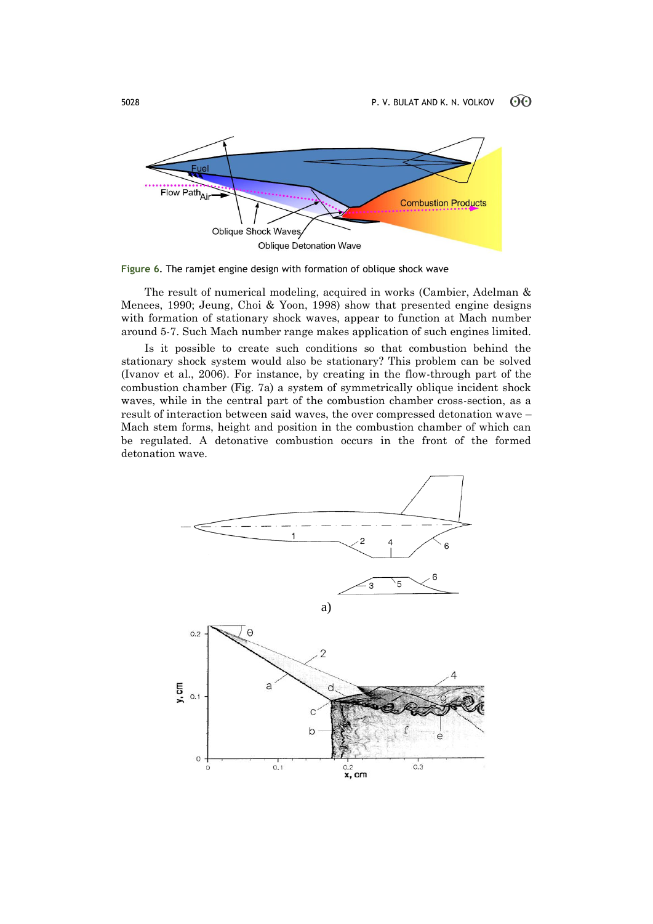

**Figure 6**. The ramjet engine design with formation of oblique shock wave

The result of numerical modeling, acquired in works (Cambier, Adelman & Menees, 1990; Jeung, Choi & Yoon, 1998) show that presented engine designs with formation of stationary shock waves, appear to function at Mach number around 5-7. Such Mach number range makes application of such engines limited.

Is it possible to create such conditions so that combustion behind the stationary shock system would also be stationary? This problem can be solved (Ivanov et al., 2006). For instance, by creating in the flow-through part of the combustion chamber (Fig. 7a) a system of symmetrically oblique incident shock waves, while in the central part of the combustion chamber cross-section, as a result of interaction between said waves, the over compressed detonation wave – Mach stem forms, height and position in the combustion chamber of which can be regulated. A detonative combustion occurs in the front of the formed detonation wave.

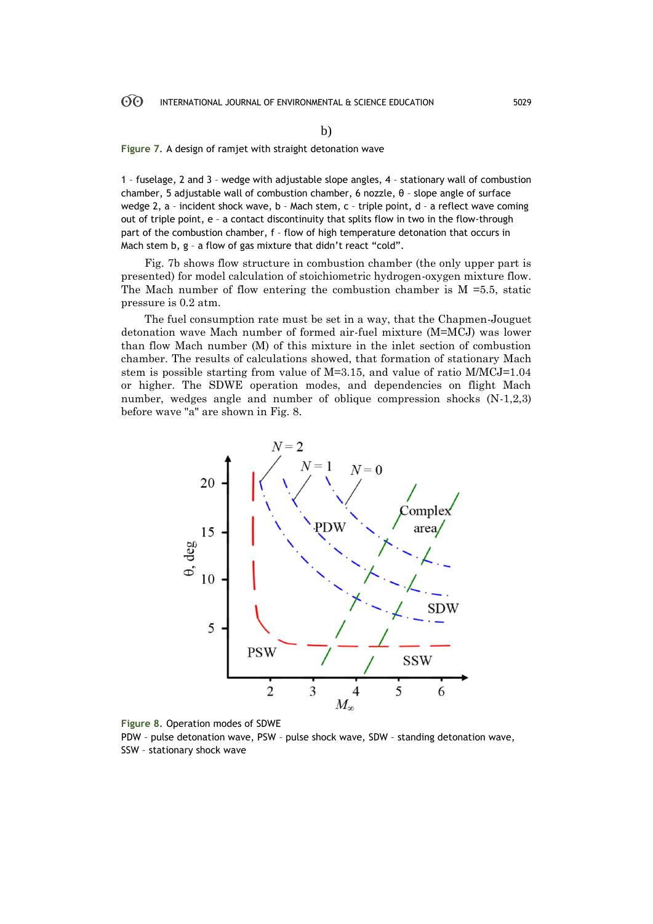**Figure 7.** A design of ramjet with straight detonation wave

1 – fuselage, 2 and 3 – wedge with adjustable slope angles, 4 – stationary wall of combustion chamber, 5 adjustable wall of combustion chamber, 6 nozzle,  $\theta$  - slope angle of surface wedge 2, a - incident shock wave, b - Mach stem, c - triple point, d - a reflect wave coming out of triple point, е – a contact discontinuity that splits flow in two in the flow-through part of the combustion chamber, f – flow of high temperature detonation that occurs in Mach stem b, g – a flow of gas mixture that didn't react "cold".

Fig. 7b shows flow structure in combustion chamber (the only upper part is presented) for model calculation of stoichiometric hydrogen-oxygen mixture flow. The Mach number of flow entering the combustion chamber is  $M = 5.5$ , static pressure is 0.2 atm.

The fuel consumption rate must be set in a way, that the Chapmen-Jouguet detonation wave Mach number of formed air-fuel mixture (М=МCJ) was lower than flow Mach number (М) of this mixture in the inlet section of combustion chamber. The results of calculations showed, that formation of stationary Mach stem is possible starting from value of М=3.15, and value of ratio М/МCJ=1.04 or higher. The SDWE operation modes, and dependencies on flight Mach number, wedges angle and number of oblique compression shocks (Ν-1,2,3) before wave "a" are shown in Fig. 8.



**Figure 8.** Operation modes of SDWE

PDW – pulse detonation wave, PSW – pulse shock wave, SDW – standing detonation wave, SSW – stationary shock wave

b)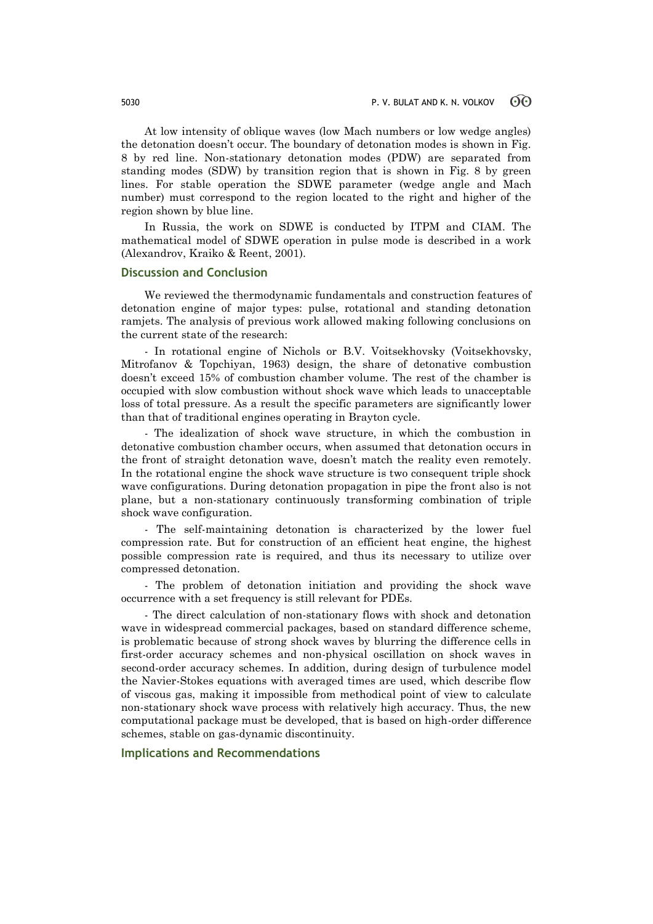At low intensity of oblique waves (low Mach numbers or low wedge angles) the detonation doesn't occur. The boundary of detonation modes is shown in Fig. 8 by red line. Non-stationary detonation modes (PDW) are separated from standing modes (SDW) by transition region that is shown in Fig. 8 by green lines. For stable operation the SDWE parameter (wedge angle and Mach number) must correspond to the region located to the right and higher of the region shown by blue line.

In Russia, the work on SDWE is conducted by ITPM and CIAM. The mathematical model of SDWE operation in pulse mode is described in a work (Alexandrov, Kraiko & Reent, 2001).

### **Discussion and Conclusion**

We reviewed the thermodynamic fundamentals and construction features of detonation engine of major types: pulse, rotational and standing detonation ramjets. The analysis of previous work allowed making following conclusions on the current state of the research:

- In rotational engine of Nichols or B.V. Voitsekhovsky (Voitsekhovsky, Mitrofanov & Topchiyan, 1963) design, the share of detonative combustion doesn't exceed 15% of combustion chamber volume. The rest of the chamber is occupied with slow combustion without shock wave which leads to unacceptable loss of total pressure. As a result the specific parameters are significantly lower than that of traditional engines operating in Brayton cycle.

- The idealization of shock wave structure, in which the combustion in detonative combustion chamber occurs, when assumed that detonation occurs in the front of straight detonation wave, doesn't match the reality even remotely. In the rotational engine the shock wave structure is two consequent triple shock wave configurations. During detonation propagation in pipe the front also is not plane, but a non-stationary continuously transforming combination of triple shock wave configuration.

- The self-maintaining detonation is characterized by the lower fuel compression rate. But for construction of an efficient heat engine, the highest possible compression rate is required, and thus its necessary to utilize over compressed detonation.

- The problem of detonation initiation and providing the shock wave occurrence with a set frequency is still relevant for PDEs.

- The direct calculation of non-stationary flows with shock and detonation wave in widespread commercial packages, based on standard difference scheme, is problematic because of strong shock waves by blurring the difference cells in first-order accuracy schemes and non-physical oscillation on shock waves in second-order accuracy schemes. In addition, during design of turbulence model the Navier-Stokes equations with averaged times are used, which describe flow of viscous gas, making it impossible from methodical point of view to calculate non-stationary shock wave process with relatively high accuracy. Thus, the new computational package must be developed, that is based on high-order difference schemes, stable on gas-dynamic discontinuity.

## **Implications and Recommendations**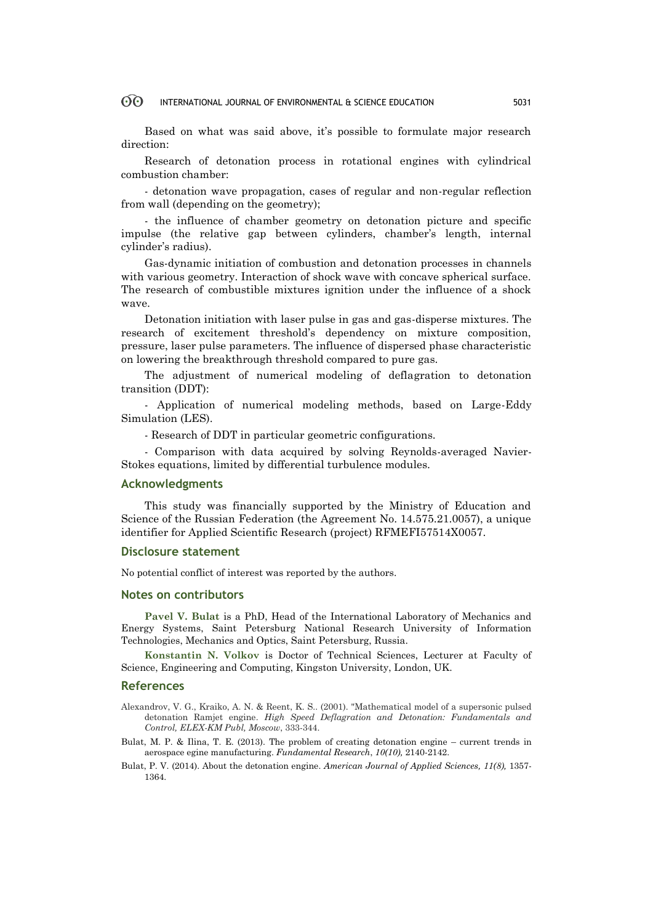#### $\odot$ INTERNATIONAL JOURNAL OF ENVIRONMENTAL & SCIENCE EDUCATION 5031

Based on what was said above, it's possible to formulate major research direction:

Research of detonation process in rotational engines with cylindrical combustion chamber:

- detonation wave propagation, cases of regular and non-regular reflection from wall (depending on the geometry);

- the influence of chamber geometry on detonation picture and specific impulse (the relative gap between cylinders, chamber's length, internal cylinder's radius).

Gas-dynamic initiation of combustion and detonation processes in channels with various geometry. Interaction of shock wave with concave spherical surface. The research of combustible mixtures ignition under the influence of a shock wave.

Detonation initiation with laser pulse in gas and gas-disperse mixtures. The research of excitement threshold's dependency on mixture composition, pressure, laser pulse parameters. The influence of dispersed phase characteristic on lowering the breakthrough threshold compared to pure gas.

The adjustment of numerical modeling of deflagration to detonation transition (DDT):

- Application of numerical modeling methods, based on Large-Eddy Simulation (LES).

- Research of DDT in particular geometric configurations.

- Comparison with data acquired by solving Reynolds-averaged Navier-Stokes equations, limited by differential turbulence modules.

### **Acknowledgments**

This study was financially supported by the Ministry of Education and Science of the Russian Federation (the Agreement No. 14.575.21.0057), a unique identifier for Applied Scientific Research (project) RFMEFI57514X0057.

## **Disclosure statement**

No potential conflict of interest was reported by the authors.

## **Notes on contributors**

**Pavel V. Bulat** is a PhD, Head of the International Laboratory of Mechanics and Energy Systems, Saint Petersburg National Research University of Information Technologies, Mechanics and Optics, Saint Petersburg, Russia.

**Konstantin N. Volkov** is Doctor of Technical Sciences, Lecturer at Faculty of Science, Engineering and Computing, Kingston University, London, UK.

### **References**

- Alexandrov, V. G., Kraiko, A. N. & Reent, K. S.. (2001). "Mathematical model of a supersonic pulsed detonation Ramjet engine. *High Speed Deflagration and Detonation: Fundamentals and Control, ELEX-KM Publ, Moscow*, 333-344.
- Bulat, M. P. & Ilina, T. E. (2013). The problem of creating detonation engine current trends in aerospace egine manufacturing. *Fundamental Research*, *10(10),* 2140-2142.
- Bulat, P. V. (2014). About the detonation engine. *American Journal of Applied Sciences, 11(8),* 1357- 1364.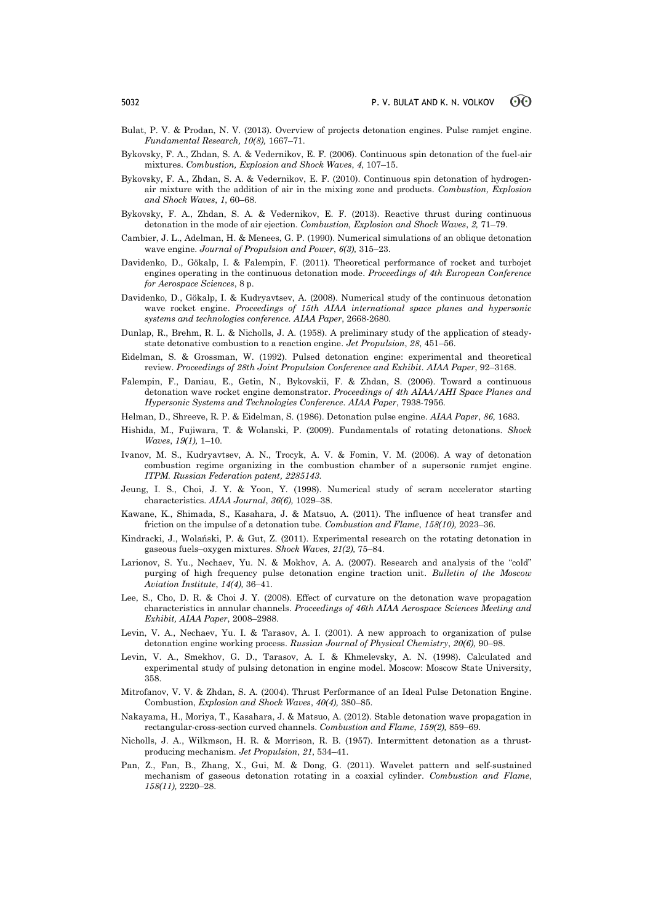- Bulat, P. V. & Prodan, N. V. (2013). Overview of projects detonation engines. Pulse ramjet engine. *Fundamental Research, 10(8),* 1667–71.
- Bykovsky, F. A., Zhdan, S. A. & Vedernikov, E. F. (2006). Continuous spin detonation of the fuel-air mixtures. *Combustion, Explosion and Shock Waves*, *4*, 107–15.
- Bykovsky, F. A., Zhdan, S. A. & Vedernikov, E. F. (2010). Continuous spin detonation of hydrogenair mixture with the addition of air in the mixing zone and products. *Combustion, Explosion and Shock Waves*, *1*, 60–68.
- Bykovsky, F. A., Zhdan, S. A. & Vedernikov, E. F. (2013). Reactive thrust during continuous detonation in the mode of air ejection. *Combustion, Explosion and Shock Waves*, *2,* 71–79.
- Cambier, J. L., Adelman, H. & Menees, G. P. (1990). Numerical simulations of an oblique detonation wave engine. *Journal of Propulsion and Power*, *6(3),* 315–23.
- Davidenko, D., Gökalp, I. & Falempin, F. (2011). Theoretical performance of rocket and turbojet engines operating in the continuous detonation mode. *Proceedings of 4th European Conference for Aerospace Sciences*, 8 p.
- Davidenko, D., Gökalp, I. & Kudryavtsev, A. (2008). Numerical study of the continuous detonation wave rocket engine. *Proceedings of 15th AIAA international space planes and hypersonic systems and technologies conference. AIAA Paper*, 2668-2680.
- Dunlap, R., Brehm, R. L. & Nicholls, J. A. (1958). A preliminary study of the application of steadystate detonative combustion to a reaction engine. *Jet Propulsion*, *28*, 451–56.
- Eidelman, S. & Grossman, W. (1992). Pulsed detonation engine: experimental and theoretical review. *Proceedings of 28th Joint Propulsion Conference and Exhibit. AIAA Paper*, 92–3168.
- Falempin, F., Daniau, E., Getin, N., Bykovskii, F. & Zhdan, S. (2006). Toward a continuous detonation wave rocket engine demonstrator. *Proceedings of 4th AIAA/AHI Space Planes and Hypersonic Systems and Technologies Conference. AIAA Paper*, 7938-7956.
- Helman, D., Shreeve, R. P. & Eidelman, S. (1986). Detonation pulse engine. *AIAA Paper*, *86,* 1683.
- Hishida, M., Fujiwara, T. & Wolanski, P. (2009). Fundamentals of rotating detonations. *Shock Waves*, *19(1),* 1–10.
- Ivanov, M. S., Kudryavtsev, A. N., Trocyk, A. V. & Fomin, V. M. (2006). A way of detonation combustion regime organizing in the combustion chamber of a supersonic ramjet engine. *ITPM. Russian Federation patent, 2285143.*
- Jeung, I. S., Choi, J. Y. & Yoon, Y. (1998). Numerical study of scram accelerator starting characteristics. *AIAA Journal*, *36(6),* 1029–38.
- Kawane, K., Shimada, S., Kasahara, J. & Matsuo, A. (2011). The influence of heat transfer and friction on the impulse of a detonation tube. *Combustion and Flame*, *158(10),* 2023–36.
- Kindracki, J., Wolański, P. & Gut, Z. (2011). Experimental research on the rotating detonation in gaseous fuels–oxygen mixtures. *Shock Waves*, *21(2),* 75–84.
- Larionov, S. Yu., Nechaev, Yu. N. & Mokhov, A. A. (2007). Research and analysis of the "cold" purging of high frequency pulse detonation engine traction unit. *Bulletin of the Moscow Aviation Institute*, *14(4),* 36–41.
- Lee, S., Cho, D. R. & Choi J. Y. (2008). Effect of curvature on the detonation wave propagation characteristics in annular channels. *Proceedings of 46th AIAA Aerospace Sciences Meeting and Exhibit, AIAA Paper*, 2008–2988.
- Levin, V. A., Nechaev, Yu. I. & Tarasov, A. I. (2001). A new approach to organization of pulse detonation engine working process. *Russian Journal of Physical Chemistry*, *20(6),* 90–98.
- Levin, V. A., Smekhov, G. D., Tarasov, A. I. & Khmelevsky, A. N. (1998). Calculated and experimental study of pulsing detonation in engine model. Moscow: Moscow State University, 358.
- Mitrofanov, V. V. & Zhdan, S. A. (2004). Thrust Performance of an Ideal Pulse Detonation Engine. Combustion, *Explosion and Shock Waves*, *40(4),* 380–85.
- Nakayama, H., Moriya, T., Kasahara, J. & Matsuo, A. (2012). Stable detonation wave propagation in rectangular-cross-section curved channels. *Combustion and Flame*, *159(2),* 859–69.
- Nicholls, J. A., Wilkmson, H. R. & Morrison, R. В. (1957). Intermittent detonation as a thrustproducing mechanism. *Jet Propulsion*, *21*, 534–41.
- Pan, Z., Fan, B., Zhang, X., Gui, M. & Dong, G. (2011). Wavelet pattern and self-sustained mechanism of gaseous detonation rotating in a coaxial cylinder. *Combustion and Flame*, *158(11),* 2220–28.